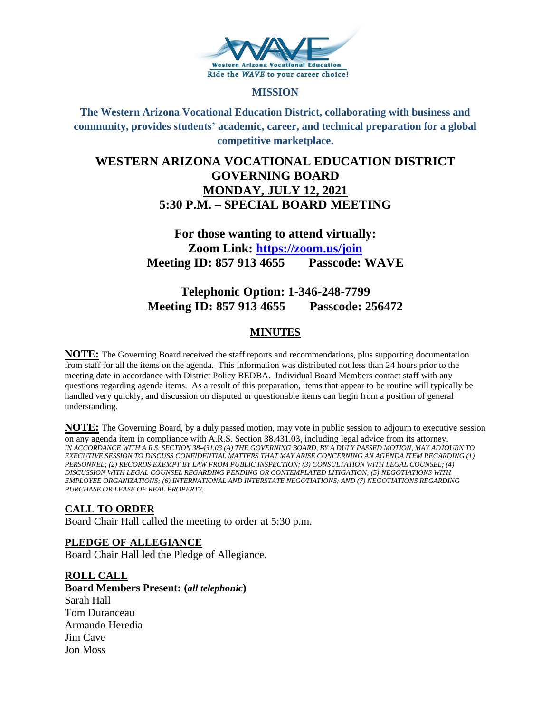

#### **MISSION**

**The Western Arizona Vocational Education District, collaborating with business and community, provides students' academic, career, and technical preparation for a global competitive marketplace.**

# **WESTERN ARIZONA VOCATIONAL EDUCATION DISTRICT GOVERNING BOARD MONDAY, JULY 12, 2021 5:30 P.M. – SPECIAL BOARD MEETING**

# **For those wanting to attend virtually: Zoom Link:<https://zoom.us/join> Meeting ID: 857 913 4655 Passcode: WAVE**

# **Telephonic Option: 1-346-248-7799 Meeting ID: 857 913 4655 Passcode: 256472**

# **MINUTES**

**NOTE:** The Governing Board received the staff reports and recommendations, plus supporting documentation from staff for all the items on the agenda. This information was distributed not less than 24 hours prior to the meeting date in accordance with District Policy BEDBA. Individual Board Members contact staff with any questions regarding agenda items. As a result of this preparation, items that appear to be routine will typically be handled very quickly, and discussion on disputed or questionable items can begin from a position of general understanding.

**NOTE:** The Governing Board, by a duly passed motion, may vote in public session to adjourn to executive session on any agenda item in compliance with A.R.S. Section 38.431.03, including legal advice from its attorney. *IN ACCORDANCE WITH A.R.S. SECTION 38-431.03 (A) THE GOVERNING BOARD, BY A DULY PASSED MOTION, MAY ADJOURN TO EXECUTIVE SESSION TO DISCUSS CONFIDENTIAL MATTERS THAT MAY ARISE CONCERNING AN AGENDA ITEM REGARDING (1) PERSONNEL; (2) RECORDS EXEMPT BY LAW FROM PUBLIC INSPECTION; (3) CONSULTATION WITH LEGAL COUNSEL; (4) DISCUSSION WITH LEGAL COUNSEL REGARDING PENDING OR CONTEMPLATED LITIGATION; (5) NEGOTIATIONS WITH EMPLOYEE ORGANIZATIONS; (6) INTERNATIONAL AND INTERSTATE NEGOTIATIONS; AND (7) NEGOTIATIONS REGARDING PURCHASE OR LEASE OF REAL PROPERTY.*

# **CALL TO ORDER**

Board Chair Hall called the meeting to order at 5:30 p.m.

# **PLEDGE OF ALLEGIANCE**

Board Chair Hall led the Pledge of Allegiance.

#### **ROLL CALL**

**Board Members Present: (***all telephonic***)** Sarah Hall Tom Duranceau Armando Heredia Jim Cave Jon Moss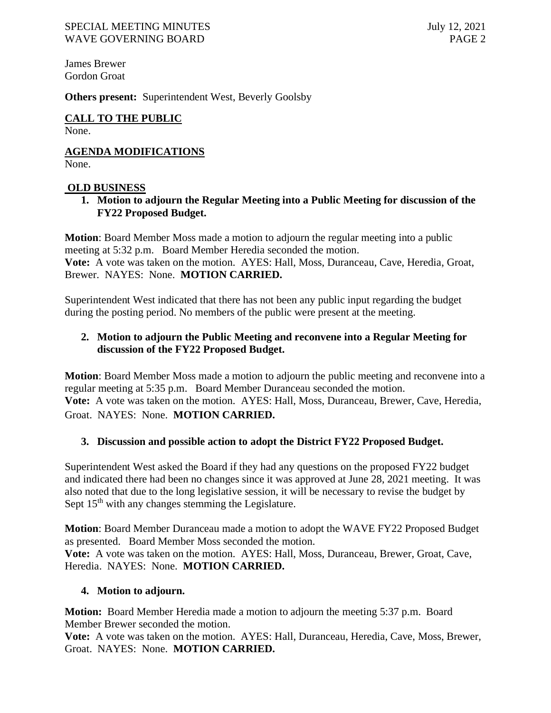James Brewer Gordon Groat

**Others present:** Superintendent West, Beverly Goolsby

**CALL TO THE PUBLIC** None.

**AGENDA MODIFICATIONS** None.

### **OLD BUSINESS**

**1. Motion to adjourn the Regular Meeting into a Public Meeting for discussion of the FY22 Proposed Budget.** 

**Motion**: Board Member Moss made a motion to adjourn the regular meeting into a public meeting at 5:32 p.m. Board Member Heredia seconded the motion. **Vote:** A vote was taken on the motion. AYES: Hall, Moss, Duranceau, Cave, Heredia, Groat, Brewer. NAYES: None. **MOTION CARRIED.**

Superintendent West indicated that there has not been any public input regarding the budget during the posting period. No members of the public were present at the meeting.

# **2. Motion to adjourn the Public Meeting and reconvene into a Regular Meeting for discussion of the FY22 Proposed Budget.**

**Motion**: Board Member Moss made a motion to adjourn the public meeting and reconvene into a regular meeting at 5:35 p.m. Board Member Duranceau seconded the motion. **Vote:** A vote was taken on the motion. AYES: Hall, Moss, Duranceau, Brewer, Cave, Heredia, Groat. NAYES: None. **MOTION CARRIED.**

# **3. Discussion and possible action to adopt the District FY22 Proposed Budget.**

Superintendent West asked the Board if they had any questions on the proposed FY22 budget and indicated there had been no changes since it was approved at June 28, 2021 meeting. It was also noted that due to the long legislative session, it will be necessary to revise the budget by Sept  $15<sup>th</sup>$  with any changes stemming the Legislature.

**Motion**: Board Member Duranceau made a motion to adopt the WAVE FY22 Proposed Budget as presented. Board Member Moss seconded the motion.

**Vote:** A vote was taken on the motion. AYES: Hall, Moss, Duranceau, Brewer, Groat, Cave, Heredia. NAYES: None. **MOTION CARRIED.**

# **4. Motion to adjourn.**

**Motion:** Board Member Heredia made a motion to adjourn the meeting 5:37 p.m. Board Member Brewer seconded the motion.

**Vote:** A vote was taken on the motion. AYES: Hall, Duranceau, Heredia, Cave, Moss, Brewer, Groat. NAYES: None. **MOTION CARRIED.**